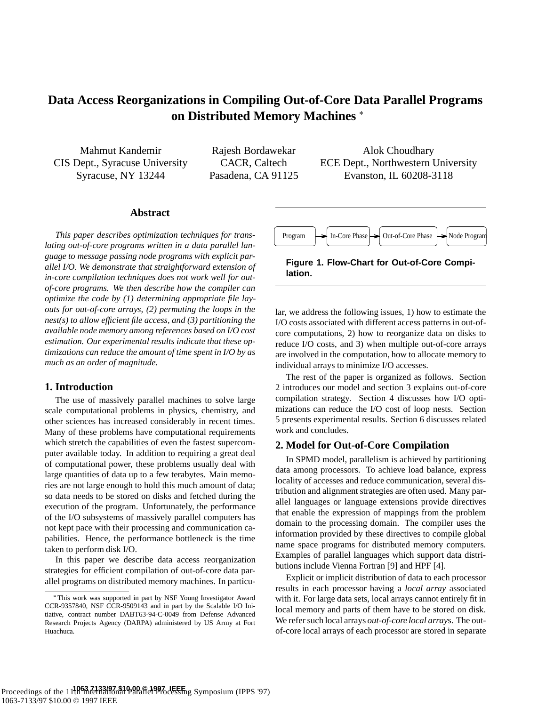# **Data Access Reorganizations in Compiling Out-of-Core Data Parallel Programs on Distributed Memory Machines**

Mahmut Kandemir CIS Dept., Syracuse University Syracuse, NY 13244

Rajesh Bordawekar CACR, Caltech Pasadena, CA 91125

Alok Choudhary ECE Dept., Northwestern University Evanston, IL 60208-3118

# **Abstract**

*This paper describes optimization techniques for translating out-of-core programs written in a data parallel language to message passing node programs with explicit parallel I/O. We demonstrate that straightforward extension of in-core compilation techniques does not work well for outof-core programs. We then describe how the compiler can optimize the code by (1) determining appropriate file layouts for out-of-core arrays, (2) permuting the loops in the nest(s) to allow efficient file access, and (3) partitioning the available node memory among references based on I/O cost estimation. Our experimental results indicate that these optimizations can reduce the amount of time spent in I/O by as much as an order of magnitude.*

# **1. Introduction**

The use of massively parallel machines to solve large scale computational problems in physics, chemistry, and other sciences has increased considerably in recent times. Many of these problems have computational requirements which stretch the capabilities of even the fastest supercomputer available today. In addition to requiring a great deal of computational power, these problems usually deal with large quantities of data up to a few terabytes. Main memories are not large enough to hold this much amount of data; so data needs to be stored on disks and fetched during the execution of the program. Unfortunately, the performance of the I/O subsystems of massively parallel computers has not kept pace with their processing and communication capabilities. Hence, the performance bottleneck is the time taken to perform disk I/O.

In this paper we describe data access reorganization strategies for efficient compilation of out-of-core data parallel programs on distributed memory machines. In particu-



**Figure 1. Flow-Chart for Out-of-Core Compilation.**

lar, we address the following issues, 1) how to estimate the I/O costs associated with different access patterns in out-ofcore computations, 2) how to reorganize data on disks to reduce I/O costs, and 3) when multiple out-of-core arrays are involved in the computation, how to allocate memory to individual arrays to minimize I/O accesses.

The rest of the paper is organized as follows. Section 2 introduces our model and section 3 explains out-of-core compilation strategy. Section 4 discusses how I/O optimizations can reduce the I/O cost of loop nests. Section 5 presents experimental results. Section 6 discusses related work and concludes.

# **2. Model for Out-of-Core Compilation**

In SPMD model, parallelism is achieved by partitioning data among processors. To achieve load balance, express locality of accesses and reduce communication, several distribution and alignment strategies are often used. Many parallel languages or language extensions provide directives that enable the expression of mappings from the problem domain to the processing domain. The compiler uses the information provided by these directives to compile global name space programs for distributed memory computers. Examples of parallel languages which support data distributions include Vienna Fortran [9] and HPF [4].

Explicit or implicit distribution of data to each processor results in each processor having a *local array* associated with it. For large data sets, local arrays cannot entirely fit in local memory and parts of them have to be stored on disk. We refer such local arrays *out-of-core local array*s. The outof-core local arrays of each processor are stored in separate

This work was supported in part by NSF Young Investigator Award CCR-9357840, NSF CCR-9509143 and in part by the Scalable I/O Initiative, contract number DABT63-94-C-0049 from Defense Advanced Research Projects Agency (DARPA) administered by US Army at Fort Huachuca.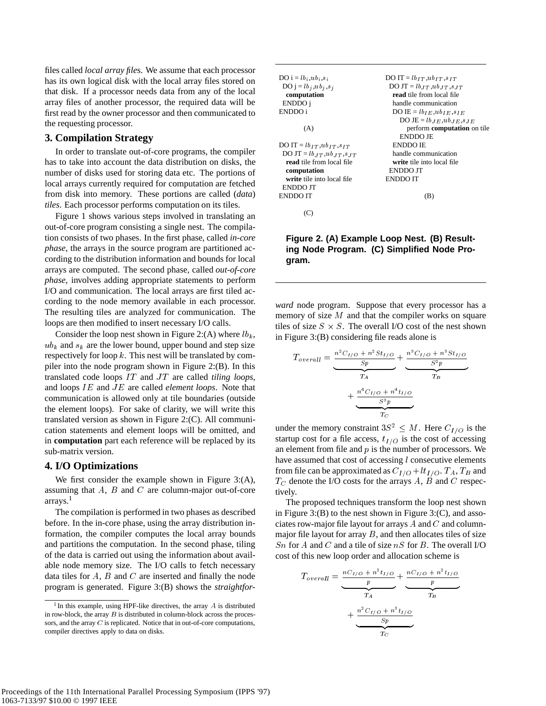files called *local array file*s. We assume that each processor has its own logical disk with the local array files stored on that disk. If a processor needs data from any of the local array files of another processor, the required data will be first read by the owner processor and then communicated to the requesting processor.

### **3. Compilation Strategy**

In order to translate out-of-core programs, the compiler has to take into account the data distribution on disks, the number of disks used for storing data etc. The portions of local arrays currently required for computation are fetched from disk into memory. These portions are called (*data*) *tiles*. Each processor performs computation on its tiles.

Figure 1 shows various steps involved in translating an out-of-core program consisting a single nest. The compilation consists of two phases. In the first phase, called *in-core phase*, the arrays in the source program are partitioned according to the distribution information and bounds for local arrays are computed. The second phase, called *out-of-core phase*, involves adding appropriate statements to perform I/O and communication. The local arrays are first tiled according to the node memory available in each processor. The resulting tiles are analyzed for communication. The loops are then modified to insert necessary I/O calls.

Consider the loop nest shown in Figure 2:(A) where  $lb_k$ ,  $ub_k$  and  $s_k$  are the lower bound, upper bound and step size respectively for loop  $k$ . This nest will be translated by compiler into the node program shown in Figure 2:(B). In this translated code loops IT and JT are called *tiling loops*, and loops IE and JE are called *element loops*. Note that communication is allowed only at tile boundaries (outside the element loops). For sake of clarity, we will write this translated version as shown in Figure 2:(C). All communication statements and element loops will be omitted, and in **computation** part each reference will be replaced by its sub-matrix version.

# **4. I/O Optimizations**

We first consider the example shown in Figure 3:(A), assuming that  $A$ ,  $B$  and  $C$  are column-major out-of-core arrays.<sup>1</sup>

The compilation is performed in two phases as described before. In the in-core phase, using the array distribution information, the compiler computes the local array bounds and partitions the computation. In the second phase, tiling of the data is carried out using the information about available node memory size. The I/O calls to fetch necessary data tiles for  $A$ ,  $B$  and  $C$  are inserted and finally the node program is generated. Figure 3:(B) shows the *straightfor-*

| $DO i = lb; ub; s;$                      | DO IT = $lb_{IT}$ , $ub_{IT}$ , $s_{IT}$ |
|------------------------------------------|------------------------------------------|
| DO j = $lb_j$ , $ub_j$ , $s_j$           | DO JT = $lb_{LT}$ , $ub_{LT}$ , $s_{JT}$ |
| computation                              | read tile from local file                |
| ENDDO i                                  | handle communication                     |
| ENDDO i                                  | DO IE = $lb_{IE}$ , $ub_{IE}$ , $s_{IE}$ |
|                                          | DO JE = $lb_{JE}$ , $ub_{JE}$ , $s_{JE}$ |
| (A)                                      | perform computation on tile              |
|                                          | <b>ENDDO JE</b>                          |
| $DOIT = lb_{IT}, ub_{IT}, s_{IT}$        | <b>ENDDO IE</b>                          |
| DO JT = $lb_{LT}$ , $ub_{LT}$ , $s_{LT}$ | handle communication                     |
| read tile from local file                | write tile into local file               |
| computation                              | ENDDO JT                                 |
| write tile into local file               | <b>ENDDO IT</b>                          |
| ENDDO JT                                 |                                          |
| ENDDO IT                                 | (B)                                      |
|                                          |                                          |
|                                          |                                          |

# **Figure 2. (A) Example Loop Nest. (B) Resulting Node Program. (C) Simplified Node Program.**

*ward* node program. Suppose that every processor has a memory of size  $M$  and that the compiler works on square tiles of size  $S \times S$ . The overall I/O cost of the nest shown in Figure 3:(B) considering file reads alone is

$$
T_{overall} = \underbrace{\frac{n^2 C_{I/O} + n^2 S t_{I/O}}{Sp} + \underbrace{\frac{n^3 C_{I/O} + n^3 S t_{I/O}}{S^2 p}}_{T_B} + \underbrace{\frac{n^4 C_{I/O} + n^4 t_{I/O}}{S^3 p}}_{T_C}
$$

under the memory constraint  $3S^2 \leq M$ . Here  $C_{I/O}$  is the startup cost for a file access,  $t_{I/O}$  is the cost of accessing an element from file and  $p$  is the number of processors. We have assumed that cost of accessing *l* consecutive elements from file can be approximated as  $C_{I/O} +lt_{I/O}$ .  $T_A$ ,  $T_B$  and  $T_C$  denote the I/O costs for the arrays A, B and C respectively.

The proposed techniques transform the loop nest shown in Figure  $3:$  (B) to the nest shown in Figure  $3:$  (C), and associates row-major file layout for arrays  $A$  and  $C$  and columnmajor file layout for array  $B$ , and then allocates tiles of size Sn for A and C and a tile of size  $nS$  for B. The overall I/O cost of this new loop order and allocation scheme is

$$
T_{overall} = \underbrace{\frac{nC_{I/O} + n^2t_{I/O}}{p}}_{T_A} + \underbrace{\frac{nC_{I/O} + n^2t_{I/O}}{p}}_{T_B}
$$

$$
+ \underbrace{\frac{n^2C_{I/O} + n^3t_{I/O}}{sp}}_{T_C}
$$

<sup>&</sup>lt;sup>1</sup> In this example, using HPF-like directives, the array  $A$  is distributed in row-block, the array  $B$  is distributed in column-block across the processors, and the array C is replicated. Notice that in out-of-core computations, compiler directives apply to data on disks.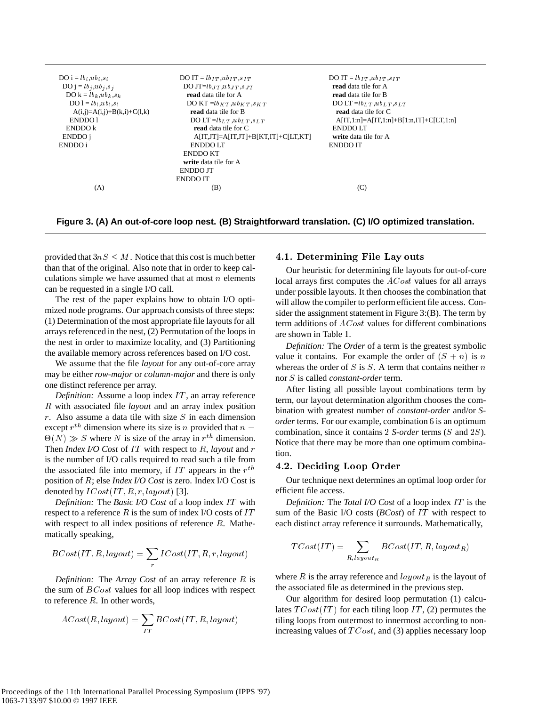| $DO i = lbi, ubi, si$          | DO IT = $lb_{IT}$ , $ub_{IT}$ , $s_{IT}$ | DO IT = $lb_{IT}$ , $ub_{IT}$ , $s_{IT}$  |
|--------------------------------|------------------------------------------|-------------------------------------------|
| DO j = $lb_j$ , $ub_j$ , $s_j$ | DO JT= $lb_{JT}$ , $ub_{JT}$ , $s_{JT}$  | read data tile for A                      |
| $DO k = lb_k, ub_k, s_k$       | read data tile for A                     | read data tile for B                      |
| $DO 1 = lbl, ubl, sl$          | DO KT $= lb_{KT}$ , $ub_{KT}$ , $s_{KT}$ | DO LT = $lb_L$ T, $ub_L$ T, $s_L$ T       |
| $A(i,j)=A(i,j)+B(k,i)+C(l,k)$  | read data tile for B                     | read data tile for C                      |
| ENDDO1                         | DO LT = $lb_{LT}$ , $ub_{LT}$ , $s_{LT}$ | $A[IT,1:n]=A[IT,1:n]+B[1:n,IT]+C[LT,1:n]$ |
| ENDDO k                        | read data tile for C                     | ENDDO LT                                  |
| ENDDO i                        | $A[IT,JT]=A[IT,JT]+B[KT,IT]+C[LT,KT]$    | write data tile for A                     |
| ENDDO i                        | ENDDO LT                                 | <b>ENDDO IT</b>                           |
|                                | <b>ENDDO KT</b>                          |                                           |
|                                | write data tile for A                    |                                           |
|                                | ENDDO JT                                 |                                           |
|                                | <b>ENDDO IT</b>                          |                                           |
| (A)                            | (B)                                      | (C)                                       |
|                                |                                          |                                           |

**Figure 3. (A) An out-of-core loop nest. (B) Straightforward translation. (C) I/O optimized translation.**

provided that  $3nS \leq M$ . Notice that this cost is much better than that of the original. Also note that in order to keep calculations simple we have assumed that at most  $n$  elements can be requested in a single I/O call.

The rest of the paper explains how to obtain I/O optimized node programs. Our approach consists of three steps: (1) Determination of the most appropriate file layouts for all arrays referenced in the nest, (2) Permutation of the loops in the nest in order to maximize locality, and (3) Partitioning the available memory across references based on I/O cost.

We assume that the file *layout* for any out-of-core array may be either *row-major* or *column-major* and there is only one distinct reference per array.

*Definition:* Assume a loop index IT, an array reference R with associated file *layout* and an array index position  $r$ . Also assume a data tile with size  $S$  in each dimension except  $r^{th}$  dimension where its size is n provided that  $n =$  combined  $\Theta(N) \gg S$  where N is size of the array in  $r^{th}$  dimension. Then *Index I/O Cost* of IT with respect to R, *layout* and r is the number of I/O calls required to read such a tile from the associated file into memory, if IT appears in the  $r^{th}$ position of R; else *Index I/O Cost* is zero. Index I/O Cost is denoted by  $ICost(IT, R, r, layout)$  [3].

*Definition:* The *Basic I/O Cost* of a loop index IT with respect to a reference  $R$  is the sum of index I/O costs of  $IT$ with respect to all index positions of reference  $R$ . Mathematically speaking,

$$
BCost(IT, R, layout) = \sum_{r} ICost(IT, R, r, layout)
$$

*Definition:* The *Array Cost* of an array reference R is the sum of  $BCost$  values for all loop indices with respect to reference  $R$ . In other words,

$$
ACost(R, layout) = \sum_{IT} BCost(IT, R, layout)
$$

#### 4.1. Determining File Lay outs

Our heuristic for determining file layouts for out-of-core local arrays first computes the *ACost* values for all arrays under possible layouts. It then chooses the combination that will allow the compiler to perform efficient file access. Consider the assignment statement in Figure 3:(B). The term by term additions of ACost values for different combinations are shown in Table 1.

*Definition:* The *Order* of a term is the greatest symbolic value it contains. For example the order of  $(S + n)$  is n whereas the order of  $S$  is  $S$ . A term that contains neither  $n$ nor S is called *constant-order* term.

After listing all possible layout combinations term by term, our layout determination algorithm chooses the combination with greatest number of *constant-order* and/or *Sorder* terms. For our example, combination 6 is an optimum combination, since it contains <sup>2</sup> *S-order* terms (S and 2S). Notice that there may be more than one optimum combination.

#### $\mathbf{a}$  and  $\mathbf{a}$  are constant of  $\mathbf{a}$  and  $\mathbf{a}$  are constant of  $\mathbf{a}$

Our technique next determines an optimal loop order for efficient file access.

*Definition:* The *Total I/O Cost* of a loop index IT is the sum of the Basic I/O costs (*BCost*) of IT with respect to each distinct array reference it surrounds. Mathematically,

$$
TCost(IT) = \sum_{R, layout_R} BCost(IT, R, layout_R)
$$

where R is the array reference and  $layout<sub>R</sub>$  is the layout of the associated file as determined in the previous step.

Our algorithm for desired loop permutation (1) calculates  $T\text{Cost}(IT)$  for each tiling loop IT, (2) permutes the tiling loops from outermost to innermost according to nonincreasing values of  $TCost$ , and (3) applies necessary loop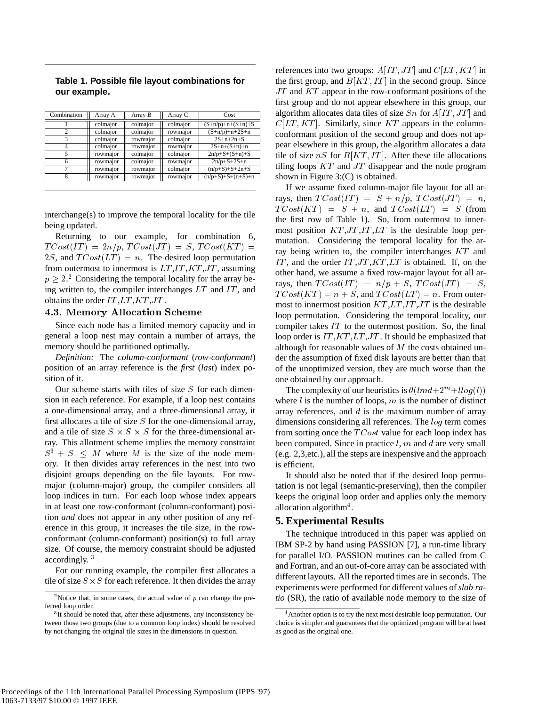|  |              |  | Table 1. Possible file layout combinations for |  |
|--|--------------|--|------------------------------------------------|--|
|  | our example. |  |                                                |  |

| Combination | Array A  | Array B  | Array C  | Cost                |
|-------------|----------|----------|----------|---------------------|
|             | colmajor | colmajor | colmajor | $(S+n/p)+n+(S+n)+S$ |
|             | colmajor | colmajor | rowmajor | $(S+n/p)+n+2S+n$    |
|             | colmajor | rowmajor | colmajor | $2S+n+2n+S$         |
|             | colmajor | rowmajor | rowmajor | $2S+n+(S+n)+n$      |
|             | rowmajor | colmajor | colmajor | $2n/p+S+(S+n)+S$    |
|             | rowmajor | colmajor | rowmajor | $2n/p+S+2S+n$       |
|             | rowmajor | rowmajor | colmajor | $(n/p+S)+S+2n+S$    |
|             | rowmajor | rowmajor | rowmajor | $(n/p+S)+S+(n+S)+n$ |

interchange(s) to improve the temporal locality for the tile being updated.

Returning to our example, for combination 6,  $TCost(T) = 2n/p$ ,  $TCost(JT) = S$ ,  $TCost(KT) =$ 2S, and  $TCost(LT) = n$ . The desired loop permutation from outermost to innermost is  $LT, IT, KT, JT$ , assuming  $p \geq 2$ .<sup>2</sup> Considering the temporal locality for the array being written to, the compiler interchanges  $LT$  and  $IT$ , and obtains the order  $IT,LT,KT,JT$ .

#### 4.3. Memory Allocation Scheme

Since each node has a limited memory capacity and in general a loop nest may contain a number of arrays, the memory should be partitioned optimally.

*Definition:* The *column-conformant* (*row-conformant*) position of an array reference is the *first* (*last*) index position of it.

Our scheme starts with tiles of size  $S$  for each dimension in each reference. For example, if a loop nest contains a one-dimensional array, and a three-dimensional array, it first allocates a tile of size  $S$  for the one-dimensional array, and a tile of size  $S \times S \times S$  for the three-dimensional array. This allotment scheme implies the memory constraint  $S^3 + S \leq M$  where M is the size of the node memory. It then divides array references in the nest into two disjoint groups depending on the file layouts. For rowmajor (column-major) group, the compiler considers all loop indices in turn. For each loop whose index appears in at least one row-conformant (column-conformant) position *and* does not appear in any other position of any reference in this group, it increases the tile size, in the rowconformant (column-conformant) position(s) to full array size. Of course, the memory constraint should be adjusted accordingly. <sup>3</sup>

For our running example, the compiler first allocates a tile of size  $S \times S$  for each reference. It then divides the array references into two groups:  $A[IT, JT]$  and  $C[LT, KT]$  in the first group, and  $B[KT,IT]$  in the second group. Since  $JT$  and  $KT$  appear in the row-conformant positions of the first group and do not appear elsewhere in this group, our algorithm allocates data tiles of size  $Sn$  for  $A[IT,JT]$  and  $C[LT, KT]$ . Similarly, since KT appears in the columnconformant position of the second group and does not appear elsewhere in this group, the algorithm allocates a data tile of size  $nS$  for  $B[KT, IT]$ . After these tile allocations tiling loops  $KT$  and  $JT$  disappear and the node program shown in Figure 3:(C) is obtained.

If we assume fixed column-major file layout for all arrays, then  $TCost(IT) = S + n/p$ ,  $TCost(JT) = n$ ,  $TCost(KT) = S + n$ , and  $TCost(LT) = S$  (from the first row of Table 1). So, from outermost to innermost position  $KT, JT, IT, LT$  is the desirable loop permutation. Considering the temporal locality for the array being written to, the compiler interchanges KT and IT, and the order  $IT, JT, KT, LT$  is obtained. If, on the other hand, we assume a fixed row-major layout for all arrays, then  $TCost(IT) = n/p + S$ ,  $TCost(JT) = S$ ,  $TCost(KT) = n + S$ , and  $TCost(LT) = n$ . From outermost to innermost position  $KT,LT,IT,JT$  is the desirable loop permutation. Considering the temporal locality, our compiler takes  $IT$  to the outermost position. So, the final loop order is  $IT, KT, LT, JT$ . It should be emphasized that although for reasonable values of  $M$  the costs obtained under the assumption of fixed disk layouts are better than that of the unoptimized version, they are much worse than the one obtained by our approach.

The complexity of our heuristics is  $\theta(lmd+2^m+llog(l))$ where  $l$  is the number of loops,  $m$  is the number of distinct array references, and  $d$  is the maximum number of array dimensions considering all references. The log term comes from sorting once the  $TCost$  value for each loop index has been computed. Since in practice  $l$ ,  $m$  and  $d$  are very small (e.g. 2,3,etc.), all the steps are inexpensive and the approach is efficient.

It should also be noted that if the desired loop permutation is not legal (semantic-preserving), then the compiler keeps the original loop order and applies only the memory allocation algorithm<sup>4</sup>.

#### **5. Experimental Results**

The technique introduced in this paper was applied on IBM SP-2 by hand using PASSION [7], a run-time library for parallel I/O. PASSION routines can be called from C and Fortran, and an out-of-core array can be associated with different layouts. All the reported times are in seconds. The experiments were performed for different values of*slab ratio* (SR), the ratio of available node memory to the size of

<sup>&</sup>lt;sup>2</sup>Notice that, in some cases, the actual value of  $p$  can change the preferred loop order.

<sup>&</sup>lt;sup>3</sup>It should be noted that, after these adjustments, any inconsistency between those two groups (due to a common loop index) should be resolved by not changing the original tile sizes in the dimensions in question.

<sup>&</sup>lt;sup>4</sup> Another option is to try the next most desirable loop permutation. Our choice is simpler and guarantees that the optimized program will be at least as good as the original one.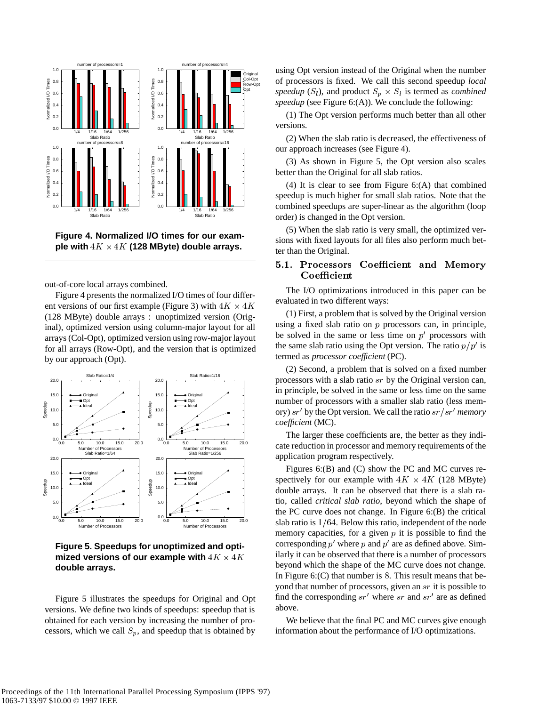

**Figure 4. Normalized I/O times for our exam**ple with  $4K \times 4K$  (128 MByte) double arrays.

out-of-core local arrays combined.

Figure 4 presents the normalized I/O times of four different versions of our first example (Figure 3) with  $4K \times 4K$ (128 MByte) double arrays : unoptimized version (Original), optimized version using column-major layout for all arrays (Col-Opt), optimized version using row-major layout for all arrays (Row-Opt), and the version that is optimized by our approach (Opt).



**Figure 5. Speedups for unoptimized and opti**mized versions of our example with  $4K \times 4K$  . Itally if **double arrays.**

Figure 5 illustrates the speedups for Original and Opt versions. We define two kinds of speedups: speedup that is obtained for each version by increasing the number of processors, which we call  $S_p$ , and speedup that is obtained by

using Opt version instead of the Original when the number of processors is fixed. We call this second speedup *local* speedup  $(S_l)$ , and product  $S_p \times S_l$  is termed as *combined speedup* (see Figure 6:(A)). We conclude the following:

(1) The Opt version performs much better than all other versions.

(2) When the slab ratio is decreased, the effectiveness of our approach increases (see Figure 4).

(3) As shown in Figure 5, the Opt version also scales better than the Original for all slab ratios.

(4) It is clear to see from Figure 6:(A) that combined speedup is much higher for small slab ratios. Note that the combined speedups are super-linear as the algorithm (loop order) is changed in the Opt version.

(5) When the slab ratio is very small, the optimized versions with fixed layouts for all files also perform much better than the Original.

# 5.1. Processors Coefficient and Memory Coefficient

The I/O optimizations introduced in this paper can be evaluated in two different ways:

(1) First, a problem that is solved by the Original version using a fixed slab ratio on  $p$  processors can, in principle, be solved in the same or less time on  $p'$  processors with the same slab ratio using the Opt version. The ratio  $p/p'$  is termed as *processor coefficient* (PC).

(2) Second, a problem that is solved on a fixed number processors with a slab ratio sr by the Original version can, in principle, be solved in the same or less time on the same number of processors with a smaller slab ratio (less memory) sr' by the Opt version. We call the ratio sr / sr' memory *coefficient* (MC).

The larger these coefficients are, the better as they indicate reduction in processor and memory requirements of the application program respectively.

Figures 6:(B) and (C) show the PC and MC curves respectively for our example with  $4K \times 4K$  (128 MByte) double arrays. It can be observed that there is a slab ratio, called *critical slab ratio*, beyond which the shape of the PC curve does not change. In Figure 6:(B) the critical slab ratio is  $1/64$ . Below this ratio, independent of the node memory capacities, for a given  $p$  it is possible to find the corresponding  $p'$  where  $p$  and  $p'$  are as defined above. Similarly it can be observed that there is a number of processors beyond which the shape of the MC curve does not change. In Figure  $6:$  (C) that number is 8. This result means that beyond that number of processors, given an sr it is possible to find the corresponding  $sr'$  where  $sr$  and  $sr'$  are as defined above.

We believe that the final PC and MC curves give enough information about the performance of I/O optimizations.